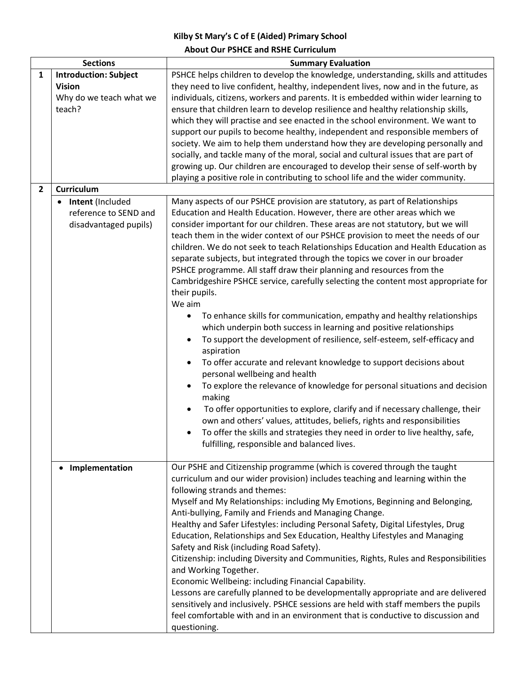## **Kilby St Mary's C of E (Aided) Primary School About Our PSHCE and RSHE Curriculum**

| <b>Sections</b> |                                                                                        | <b>Summary Evaluation</b>                                                                                                                                                                                                                                                                                                                                                                                                                                                                                                                                                                                                                                                                                                                                                                                                                                                                                                                                                                                                                                                                                                                                                                                                                                                                                                                                                                                                                                                                        |
|-----------------|----------------------------------------------------------------------------------------|--------------------------------------------------------------------------------------------------------------------------------------------------------------------------------------------------------------------------------------------------------------------------------------------------------------------------------------------------------------------------------------------------------------------------------------------------------------------------------------------------------------------------------------------------------------------------------------------------------------------------------------------------------------------------------------------------------------------------------------------------------------------------------------------------------------------------------------------------------------------------------------------------------------------------------------------------------------------------------------------------------------------------------------------------------------------------------------------------------------------------------------------------------------------------------------------------------------------------------------------------------------------------------------------------------------------------------------------------------------------------------------------------------------------------------------------------------------------------------------------------|
| 1               | <b>Introduction: Subject</b>                                                           | PSHCE helps children to develop the knowledge, understanding, skills and attitudes                                                                                                                                                                                                                                                                                                                                                                                                                                                                                                                                                                                                                                                                                                                                                                                                                                                                                                                                                                                                                                                                                                                                                                                                                                                                                                                                                                                                               |
|                 | <b>Vision</b><br>Why do we teach what we<br>teach?                                     | they need to live confident, healthy, independent lives, now and in the future, as<br>individuals, citizens, workers and parents. It is embedded within wider learning to<br>ensure that children learn to develop resilience and healthy relationship skills,<br>which they will practise and see enacted in the school environment. We want to<br>support our pupils to become healthy, independent and responsible members of<br>society. We aim to help them understand how they are developing personally and<br>socially, and tackle many of the moral, social and cultural issues that are part of<br>growing up. Our children are encouraged to develop their sense of self-worth by<br>playing a positive role in contributing to school life and the wider community.                                                                                                                                                                                                                                                                                                                                                                                                                                                                                                                                                                                                                                                                                                                  |
| 2               | <b>Curriculum</b>                                                                      |                                                                                                                                                                                                                                                                                                                                                                                                                                                                                                                                                                                                                                                                                                                                                                                                                                                                                                                                                                                                                                                                                                                                                                                                                                                                                                                                                                                                                                                                                                  |
|                 | <b>Intent</b> (Included<br>$\bullet$<br>reference to SEND and<br>disadvantaged pupils) | Many aspects of our PSHCE provision are statutory, as part of Relationships<br>Education and Health Education. However, there are other areas which we<br>consider important for our children. These areas are not statutory, but we will<br>teach them in the wider context of our PSHCE provision to meet the needs of our<br>children. We do not seek to teach Relationships Education and Health Education as<br>separate subjects, but integrated through the topics we cover in our broader<br>PSHCE programme. All staff draw their planning and resources from the<br>Cambridgeshire PSHCE service, carefully selecting the content most appropriate for<br>their pupils.<br>We aim<br>To enhance skills for communication, empathy and healthy relationships<br>$\bullet$<br>which underpin both success in learning and positive relationships<br>To support the development of resilience, self-esteem, self-efficacy and<br>$\bullet$<br>aspiration<br>To offer accurate and relevant knowledge to support decisions about<br>$\bullet$<br>personal wellbeing and health<br>To explore the relevance of knowledge for personal situations and decision<br>$\bullet$<br>making<br>To offer opportunities to explore, clarify and if necessary challenge, their<br>$\bullet$<br>own and others' values, attitudes, beliefs, rights and responsibilities<br>To offer the skills and strategies they need in order to live healthy, safe,<br>fulfilling, responsible and balanced lives. |
|                 | Implementation                                                                         | Our PSHE and Citizenship programme (which is covered through the taught<br>curriculum and our wider provision) includes teaching and learning within the<br>following strands and themes:<br>Myself and My Relationships: including My Emotions, Beginning and Belonging,<br>Anti-bullying, Family and Friends and Managing Change.<br>Healthy and Safer Lifestyles: including Personal Safety, Digital Lifestyles, Drug<br>Education, Relationships and Sex Education, Healthy Lifestyles and Managing<br>Safety and Risk (including Road Safety).<br>Citizenship: including Diversity and Communities, Rights, Rules and Responsibilities<br>and Working Together.<br>Economic Wellbeing: including Financial Capability.<br>Lessons are carefully planned to be developmentally appropriate and are delivered<br>sensitively and inclusively. PSHCE sessions are held with staff members the pupils<br>feel comfortable with and in an environment that is conductive to discussion and<br>questioning.                                                                                                                                                                                                                                                                                                                                                                                                                                                                                       |